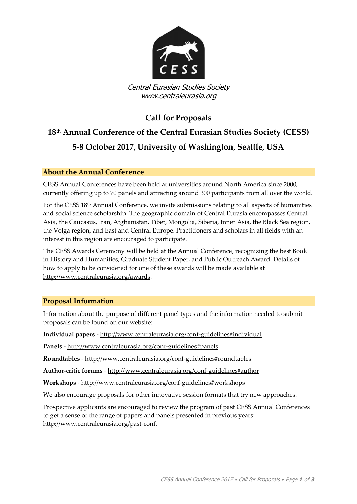

## **Call for Proposals**

# **18th Annual Conference of the Central Eurasian Studies Society (CESS) 5-8 October 2017, University of Washington, Seattle, USA**

## **About the Annual Conference**

CESS Annual Conferences have been held at universities around North America since 2000, currently offering up to 70 panels and attracting around 300 participants from all over the world.

For the CESS 18<sup>th</sup> Annual Conference, we invite submissions relating to all aspects of humanities and social science scholarship. The geographic domain of Central Eurasia encompasses Central Asia, the Caucasus, Iran, Afghanistan, Tibet, Mongolia, Siberia, Inner Asia, the Black Sea region, the Volga region, and East and Central Europe. Practitioners and scholars in all fields with an interest in this region are encouraged to participate.

The CESS Awards Ceremony will be held at the Annual Conference, recognizing the best Book in History and Humanities, Graduate Student Paper, and Public Outreach Award. Details of how to apply to be considered for one of these awards will be made available at [http://www.centraleurasia.org/awards.](http://www.centraleurasia.org/awards)

## **Proposal Information**

Information about the purpose of different panel types and the information needed to submit proposals can be found on our website:

**Individual papers** - <http://www.centraleurasia.org/conf-guidelines#individual>

**Panels** - <http://www.centraleurasia.org/conf-guidelines#panels>

**Roundtables** - <http://www.centraleurasia.org/conf-guidelines#roundtables>

**Author-critic forums** - <http://www.centraleurasia.org/conf-guidelines#author>

**Workshops** - <http://www.centraleurasia.org/conf-guidelines#workshops>

We also encourage proposals for other innovative session formats that try new approaches.

Prospective applicants are encouraged to review the program of past CESS Annual Conferences to get a sense of the range of papers and panels presented in previous years: [http://www.centraleurasia.org/past-conf.](http://www.centraleurasia.org/past-conf)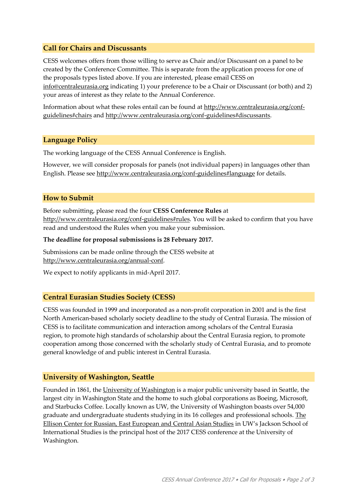### **Call for Chairs and Discussants**

CESS welcomes offers from those willing to serve as Chair and/or Discussant on a panel to be created by the Conference Committee. This is separate from the application process for one of the proposals types listed above. If you are interested, please email CESS on [info@centraleurasia.org](mailto:info@centraleurasia.org) indicating 1) your preference to be a Chair or Discussant (or both) and 2) your areas of interest as they relate to the Annual Conference.

Information about what these roles entail can be found at [http://www.centraleurasia.org/conf](http://www.centraleurasia.org/conf-guidelines#chairs)[guidelines#chairs](http://www.centraleurasia.org/conf-guidelines#chairs) and [http://www.centraleurasia.org/conf-guidelines#discussants.](http://www.centraleurasia.org/conf-guidelines#discussants)

#### **Language Policy**

The working language of the CESS Annual Conference is English.

However, we will consider proposals for panels (not individual papers) in languages other than English. Please see<http://www.centraleurasia.org/conf-guidelines#language> for details.

#### **How to Submit**

Before submitting, please read the four **CESS Conference Rules** at [http://www.centraleurasia.org/conf-guidelines#rules.](http://www.centraleurasia.org/conf-guidelines#rules) You will be asked to confirm that you have read and understood the Rules when you make your submission.

#### **The deadline for proposal submissions is 28 February 2017.**

Submissions can be made online through the CESS website at [http://www.centraleurasia.org/annual-conf.](http://www.centraleurasia.org/annual-conf)

We expect to notify applicants in mid-April 2017.

#### **Central Eurasian Studies Society (CESS)**

CESS was founded in 1999 and incorporated as a non-profit corporation in 2001 and is the first North American-based scholarly society deadline to the study of Central Eurasia. The mission of CESS is to facilitate communication and interaction among scholars of the Central Eurasia region, to promote high standards of scholarship about the Central Eurasia region, to promote cooperation among those concerned with the scholarly study of Central Eurasia, and to promote general knowledge of and public interest in Central Eurasia.

#### **University of Washington, Seattle**

Founded in 1861, th[e University of Washington](http://www.washington.edu/) is a major public university based in Seattle, the largest city in Washington State and the home to such global corporations as Boeing, Microsoft, and Starbucks Coffee. Locally known as UW, the University of Washington boasts over 54,000 graduate and undergraduate students studying in its 16 colleges and professional schools[. The](https://jsis.washington.edu/ellisoncenter/)  [Ellison Center for Russian, East European and Central Asian Studies](https://jsis.washington.edu/ellisoncenter/) in UW's Jackson School of International Studies is the principal host of the 2017 CESS conference at the University of Washington.